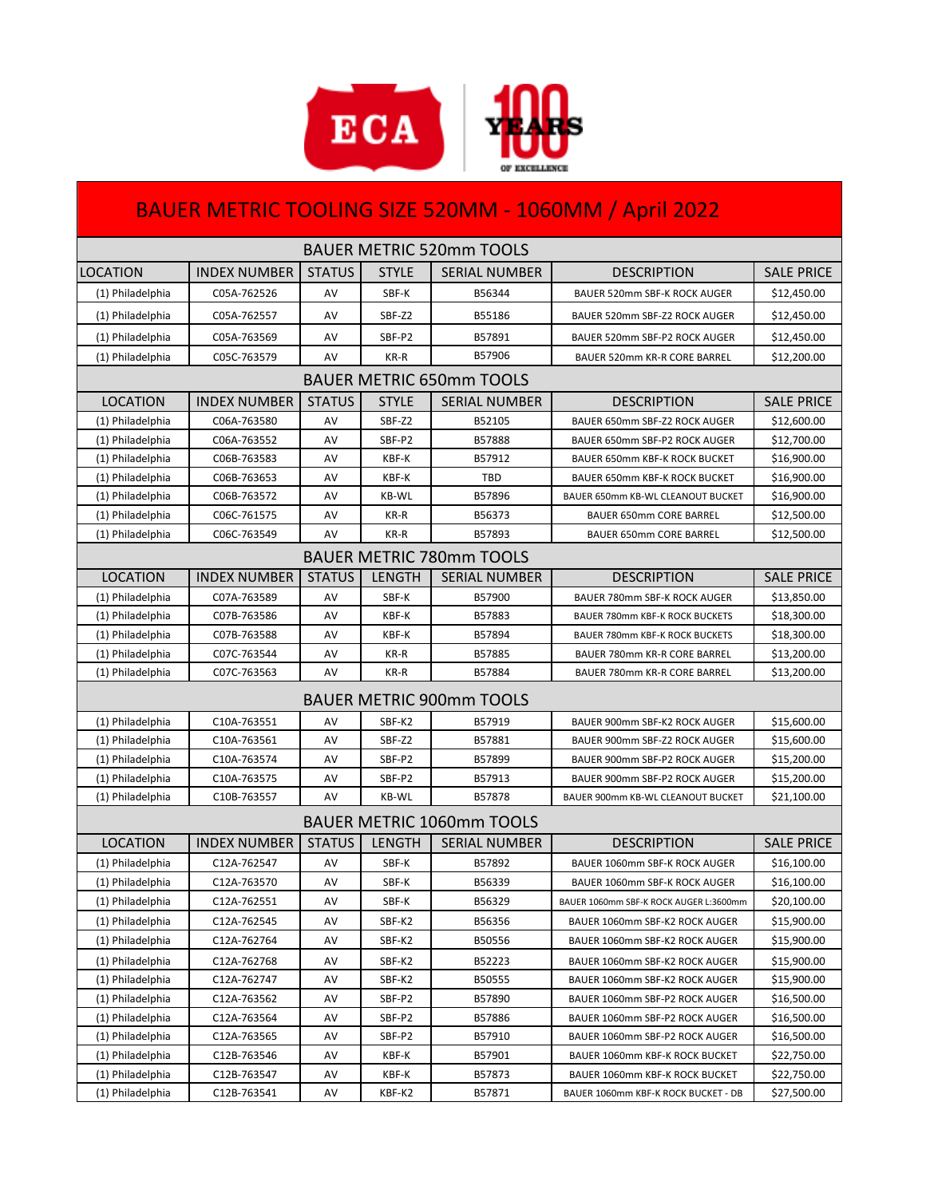

## BAUER METRIC TOOLING SIZE 520MM - 1060MM / April 2022

| <b>BAUER METRIC 520mm TOOLS</b>  |                     |               |               |                      |                                        |                   |  |  |  |  |
|----------------------------------|---------------------|---------------|---------------|----------------------|----------------------------------------|-------------------|--|--|--|--|
| LOCATION                         | <b>INDEX NUMBER</b> | <b>STATUS</b> | <b>STYLE</b>  | <b>SERIAL NUMBER</b> | <b>DESCRIPTION</b>                     | <b>SALE PRICE</b> |  |  |  |  |
| (1) Philadelphia                 | C05A-762526         | AV            | SBF-K         | B56344               | BAUER 520mm SBF-K ROCK AUGER           | \$12,450.00       |  |  |  |  |
| (1) Philadelphia                 | C05A-762557         | AV            | SBF-Z2        | B55186               | BAUER 520mm SBF-Z2 ROCK AUGER          | \$12,450.00       |  |  |  |  |
| (1) Philadelphia                 | C05A-763569         | AV            | SBF-P2        | B57891               | BAUER 520mm SBF-P2 ROCK AUGER          | \$12,450.00       |  |  |  |  |
| (1) Philadelphia                 | C05C-763579         | AV            | KR-R          | B57906               | BAUER 520mm KR-R CORE BARREL           | \$12,200.00       |  |  |  |  |
| <b>BAUER METRIC 650mm TOOLS</b>  |                     |               |               |                      |                                        |                   |  |  |  |  |
| <b>LOCATION</b>                  | <b>INDEX NUMBER</b> | <b>STATUS</b> | <b>STYLE</b>  | <b>SERIAL NUMBER</b> | <b>DESCRIPTION</b>                     | <b>SALE PRICE</b> |  |  |  |  |
| (1) Philadelphia                 | C06A-763580         | AV            | SBF-Z2        | B52105               | BAUER 650mm SBF-Z2 ROCK AUGER          | \$12,600.00       |  |  |  |  |
| (1) Philadelphia                 | C06A-763552         | AV            | SBF-P2        | B57888               | BAUER 650mm SBF-P2 ROCK AUGER          | \$12,700.00       |  |  |  |  |
| (1) Philadelphia                 | C06B-763583         | AV            | KBF-K         | B57912               | BAUER 650mm KBF-K ROCK BUCKET          | \$16,900.00       |  |  |  |  |
| (1) Philadelphia                 | C06B-763653         | AV            | KBF-K         | TBD                  | BAUER 650mm KBF-K ROCK BUCKET          | \$16,900.00       |  |  |  |  |
| (1) Philadelphia                 | C06B-763572         | AV            | <b>KB-WL</b>  | B57896               | BAUER 650mm KB-WL CLEANOUT BUCKET      | \$16,900.00       |  |  |  |  |
| (1) Philadelphia                 | C06C-761575         | AV            | KR-R          | B56373               | BAUER 650mm CORE BARREL                | \$12,500.00       |  |  |  |  |
| (1) Philadelphia                 | C06C-763549         | AV            | KR-R          | B57893               | BAUER 650mm CORE BARREL                | \$12,500.00       |  |  |  |  |
| <b>BAUER METRIC 780mm TOOLS</b>  |                     |               |               |                      |                                        |                   |  |  |  |  |
| <b>LOCATION</b>                  | <b>INDEX NUMBER</b> | <b>STATUS</b> | <b>LENGTH</b> | <b>SERIAL NUMBER</b> | <b>DESCRIPTION</b>                     | <b>SALE PRICE</b> |  |  |  |  |
| (1) Philadelphia                 | C07A-763589         | AV            | SBF-K         | B57900               | BAUER 780mm SBF-K ROCK AUGER           | \$13,850.00       |  |  |  |  |
| (1) Philadelphia                 | C07B-763586         | AV            | KBF-K         | B57883               | BAUER 780mm KBF-K ROCK BUCKETS         | \$18,300.00       |  |  |  |  |
| (1) Philadelphia                 | C07B-763588         | AV            | KBF-K         | B57894               | BAUER 780mm KBF-K ROCK BUCKETS         | \$18,300.00       |  |  |  |  |
| (1) Philadelphia                 | C07C-763544         | AV            | KR-R          | B57885               | BAUER 780mm KR-R CORE BARREL           | \$13,200.00       |  |  |  |  |
| (1) Philadelphia                 | C07C-763563         | AV            | KR-R          | B57884               | BAUER 780mm KR-R CORE BARREL           | \$13,200.00       |  |  |  |  |
| <b>BAUER METRIC 900mm TOOLS</b>  |                     |               |               |                      |                                        |                   |  |  |  |  |
| (1) Philadelphia                 | C10A-763551         | AV            | SBF-K2        | B57919               | BAUER 900mm SBF-K2 ROCK AUGER          | \$15,600.00       |  |  |  |  |
| (1) Philadelphia                 | C10A-763561         | AV            | SBF-Z2        | B57881               | BAUER 900mm SBF-Z2 ROCK AUGER          | \$15,600.00       |  |  |  |  |
| (1) Philadelphia                 | C10A-763574         | AV            | SBF-P2        | B57899               | BAUER 900mm SBF-P2 ROCK AUGER          | \$15,200.00       |  |  |  |  |
| (1) Philadelphia                 | C10A-763575         | AV            | SBF-P2        | B57913               | BAUER 900mm SBF-P2 ROCK AUGER          | \$15,200.00       |  |  |  |  |
| (1) Philadelphia                 | C10B-763557         | AV            | <b>KB-WL</b>  | B57878               | BAUER 900mm KB-WL CLEANOUT BUCKET      | \$21,100.00       |  |  |  |  |
| <b>BAUER METRIC 1060mm TOOLS</b> |                     |               |               |                      |                                        |                   |  |  |  |  |
| <b>LOCATION</b>                  | <b>INDEX NUMBER</b> | <b>STATUS</b> | <b>LENGTH</b> | <b>SERIAL NUMBER</b> | <b>DESCRIPTION</b>                     | <b>SALE PRICE</b> |  |  |  |  |
| (1) Philadelphia                 | C12A-762547         | AV            | SBF-K         | B57892               | BAUER 1060mm SBF-K ROCK AUGER          | \$16,100.00       |  |  |  |  |
| (1) Philadelphia                 | C12A-763570         | AV            | SBF-K         | B56339               | BAUER 1060mm SBF-K ROCK AUGER          | \$16,100.00       |  |  |  |  |
| (1) Philadelphia                 | C12A-762551         | AV            | SBF-K         | B56329               | BAUER 1060mm SBF-K ROCK AUGER L:3600mm | \$20,100.00       |  |  |  |  |
| (1) Philadelphia                 | C12A-762545         | AV            | SBF-K2        | B56356               | BAUER 1060mm SBF-K2 ROCK AUGER         | \$15,900.00       |  |  |  |  |
| (1) Philadelphia                 | C12A-762764         | AV            | SBF-K2        | B50556               | BAUER 1060mm SBF-K2 ROCK AUGER         | \$15,900.00       |  |  |  |  |
| (1) Philadelphia                 | C12A-762768         | AV            | SBF-K2        | B52223               | BAUER 1060mm SBF-K2 ROCK AUGER         | \$15,900.00       |  |  |  |  |
| (1) Philadelphia                 | C12A-762747         | AV            | SBF-K2        | B50555               | BAUER 1060mm SBF-K2 ROCK AUGER         | \$15,900.00       |  |  |  |  |
| (1) Philadelphia                 | C12A-763562         | AV            | SBF-P2        | B57890               | BAUER 1060mm SBF-P2 ROCK AUGER         | \$16,500.00       |  |  |  |  |
| (1) Philadelphia                 | C12A-763564         | AV            | SBF-P2        | B57886               | BAUER 1060mm SBF-P2 ROCK AUGER         | \$16,500.00       |  |  |  |  |
| (1) Philadelphia                 | C12A-763565         | AV            | SBF-P2        | B57910               | BAUER 1060mm SBF-P2 ROCK AUGER         | \$16,500.00       |  |  |  |  |
| (1) Philadelphia                 | C12B-763546         | AV            | KBF-K         | B57901               | BAUER 1060mm KBF-K ROCK BUCKET         | \$22,750.00       |  |  |  |  |
| (1) Philadelphia                 | C12B-763547         | AV            | KBF-K         | B57873               | BAUER 1060mm KBF-K ROCK BUCKET         | \$22,750.00       |  |  |  |  |
| (1) Philadelphia                 | C12B-763541         | AV            | KBF-K2        | B57871               | BAUER 1060mm KBF-K ROCK BUCKET - DB    | \$27,500.00       |  |  |  |  |